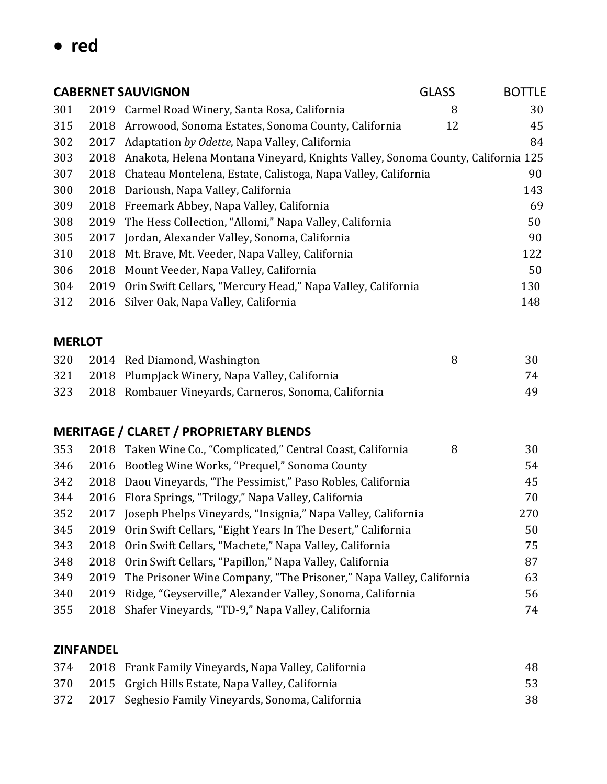**red**

|               | <b>CABERNET SAUVIGNON</b><br><b>GLASS</b> |                                                                                                          |    | <b>BOTTLE</b> |
|---------------|-------------------------------------------|----------------------------------------------------------------------------------------------------------|----|---------------|
| 301           | 2019                                      | Carmel Road Winery, Santa Rosa, California                                                               | 8  | 30            |
| 315           | 2018                                      | Arrowood, Sonoma Estates, Sonoma County, California                                                      | 12 | 45            |
| 302           | 2017                                      | Adaptation by Odette, Napa Valley, California                                                            |    | 84            |
| 303           | 2018                                      | Anakota, Helena Montana Vineyard, Knights Valley, Sonoma County, California 125                          |    |               |
| 307           | 2018                                      | Chateau Montelena, Estate, Calistoga, Napa Valley, California                                            |    | 90            |
| 300           | 2018                                      | Darioush, Napa Valley, California                                                                        |    | 143           |
| 309           | 2018                                      | Freemark Abbey, Napa Valley, California                                                                  |    | 69            |
| 308           | 2019                                      | The Hess Collection, "Allomi," Napa Valley, California                                                   |    | 50            |
| 305           | 2017                                      | Jordan, Alexander Valley, Sonoma, California                                                             |    | 90            |
| 310           | 2018                                      | Mt. Brave, Mt. Veeder, Napa Valley, California                                                           |    | 122           |
| 306           | 2018                                      | Mount Veeder, Napa Valley, California                                                                    |    | 50            |
| 304           | 2019                                      | Orin Swift Cellars, "Mercury Head," Napa Valley, California                                              |    | 130           |
| 312           | 2016                                      | Silver Oak, Napa Valley, California                                                                      |    | 148           |
|               |                                           |                                                                                                          |    |               |
| <b>MERLOT</b> |                                           |                                                                                                          |    |               |
| 320           | 2014                                      | Red Diamond, Washington                                                                                  | 8  | 30            |
| 321           | 2018                                      | PlumpJack Winery, Napa Valley, California                                                                |    | 74            |
| 323           | 2018                                      | Rombauer Vineyards, Carneros, Sonoma, California                                                         |    | 49            |
|               |                                           | <b>MERITAGE / CLARET / PROPRIETARY BLENDS</b>                                                            |    |               |
|               |                                           |                                                                                                          | 8  | 30            |
| 353<br>346    | 2018<br>2016                              | Taken Wine Co., "Complicated," Central Coast, California<br>Bootleg Wine Works, "Prequel," Sonoma County |    | 54            |
| 342           | 2018                                      | Daou Vineyards, "The Pessimist," Paso Robles, California                                                 |    | 45            |
| 344           | 2016                                      | Flora Springs, "Trilogy," Napa Valley, California                                                        |    | 70            |
| 352           |                                           | 2017 Joseph Phelps Vineyards, "Insignia," Napa Valley, California                                        |    | 270           |
| 345           | 2019                                      | Orin Swift Cellars, "Eight Years In The Desert," California                                              |    | 50            |
| 343           | 2018                                      | Orin Swift Cellars, "Machete," Napa Valley, California                                                   |    | 75            |
| 348           | 2018                                      | Orin Swift Cellars, "Papillon," Napa Valley, California                                                  |    | 87            |
| 349           | 2019                                      | The Prisoner Wine Company, "The Prisoner," Napa Valley, California                                       |    | 63            |
| 340           | 2019                                      | Ridge, "Geyserville," Alexander Valley, Sonoma, California                                               |    | 56            |
| 355           | 2018                                      | Shafer Vineyards, "TD-9," Napa Valley, California                                                        |    | 74            |
|               |                                           |                                                                                                          |    |               |

## **ZINFANDEL**

| 374 | 2018 Frank Family Vineyards, Napa Valley, California | 48 |
|-----|------------------------------------------------------|----|
| 370 | 2015 Grgich Hills Estate, Napa Valley, California    | 53 |
| 372 | 2017 Seghesio Family Vineyards, Sonoma, California   | 38 |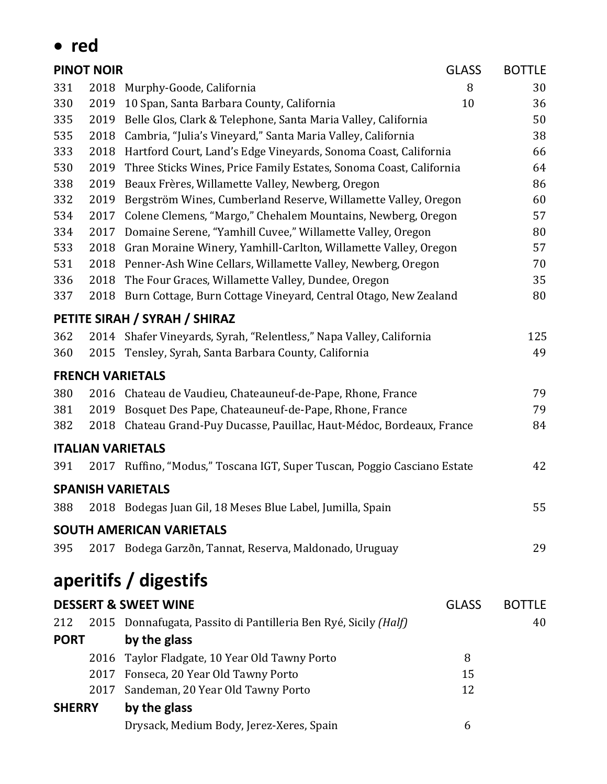|               | red                                                                        |                                                                          |              |               |
|---------------|----------------------------------------------------------------------------|--------------------------------------------------------------------------|--------------|---------------|
|               | <b>PINOT NOIR</b>                                                          |                                                                          | <b>GLASS</b> | <b>BOTTLE</b> |
| 331           | 2018                                                                       | Murphy-Goode, California                                                 | 8            | 30            |
| 330           | 2019                                                                       | 10 Span, Santa Barbara County, California                                | 10           | 36            |
| 335           | 2019                                                                       | Belle Glos, Clark & Telephone, Santa Maria Valley, California            |              | 50            |
| 535           | 2018                                                                       | Cambria, "Julia's Vineyard," Santa Maria Valley, California              |              |               |
| 333           | 2018                                                                       | Hartford Court, Land's Edge Vineyards, Sonoma Coast, California          |              |               |
| 530           | 2019<br>Three Sticks Wines, Price Family Estates, Sonoma Coast, California |                                                                          |              | 64            |
| 338           | 2019<br>Beaux Frères, Willamette Valley, Newberg, Oregon                   |                                                                          |              | 86            |
| 332           | 2019<br>Bergström Wines, Cumberland Reserve, Willamette Valley, Oregon     |                                                                          |              | 60            |
| 534           | 2017                                                                       | Colene Clemens, "Margo," Chehalem Mountains, Newberg, Oregon             |              |               |
| 334           | 2017                                                                       | Domaine Serene, "Yamhill Cuvee," Willamette Valley, Oregon               |              |               |
| 533           | 2018                                                                       | Gran Moraine Winery, Yamhill-Carlton, Willamette Valley, Oregon          |              |               |
| 531           | 2018                                                                       | Penner-Ash Wine Cellars, Willamette Valley, Newberg, Oregon              |              | 70            |
| 336           | 2018                                                                       | The Four Graces, Willamette Valley, Dundee, Oregon                       |              | 35            |
| 337           | 2018                                                                       | Burn Cottage, Burn Cottage Vineyard, Central Otago, New Zealand          |              | 80            |
|               |                                                                            | PETITE SIRAH / SYRAH / SHIRAZ                                            |              |               |
| 362           |                                                                            | 2014 Shafer Vineyards, Syrah, "Relentless," Napa Valley, California      |              | 125           |
| 360           | 2015                                                                       | Tensley, Syrah, Santa Barbara County, California                         |              | 49            |
|               |                                                                            | <b>FRENCH VARIETALS</b>                                                  |              |               |
| 380           | 2016                                                                       | Chateau de Vaudieu, Chateauneuf-de-Pape, Rhone, France                   |              | 79            |
| 381           | 2019                                                                       | Bosquet Des Pape, Chateauneuf-de-Pape, Rhone, France                     |              | 79            |
| 382           | 2018                                                                       | Chateau Grand-Puy Ducasse, Pauillac, Haut-Médoc, Bordeaux, France        |              | 84            |
|               |                                                                            | <b>ITALIAN VARIETALS</b>                                                 |              |               |
| 391           |                                                                            | 2017 Ruffino, "Modus," Toscana IGT, Super Tuscan, Poggio Casciano Estate |              | 42            |
|               |                                                                            | <b>SPANISH VARIETALS</b>                                                 |              |               |
| 388           |                                                                            | 2018 Bodegas Juan Gil, 18 Meses Blue Label, Jumilla, Spain               |              | 55            |
|               |                                                                            | <b>SOUTH AMERICAN VARIETALS</b>                                          |              |               |
| 395           |                                                                            | 2017 Bodega Garzðn, Tannat, Reserva, Maldonado, Uruguay                  |              | 29            |
|               |                                                                            | aperitifs / digestifs                                                    |              |               |
|               |                                                                            | <b>DESSERT &amp; SWEET WINE</b>                                          | <b>GLASS</b> | <b>BOTTLE</b> |
| 212           |                                                                            | 2015 Donnafugata, Passito di Pantilleria Ben Ryé, Sicily (Half)          |              | 40            |
| <b>PORT</b>   |                                                                            | by the glass                                                             |              |               |
|               |                                                                            |                                                                          |              |               |
|               | 2016                                                                       | Taylor Fladgate, 10 Year Old Tawny Porto                                 | 8            |               |
|               | 2017                                                                       | 2017 Fonseca, 20 Year Old Tawny Porto                                    | 15<br>12     |               |
|               |                                                                            | Sandeman, 20 Year Old Tawny Porto                                        |              |               |
| <b>SHERRY</b> |                                                                            | by the glass                                                             |              |               |
|               |                                                                            | Drysack, Medium Body, Jerez-Xeres, Spain                                 | 6            |               |